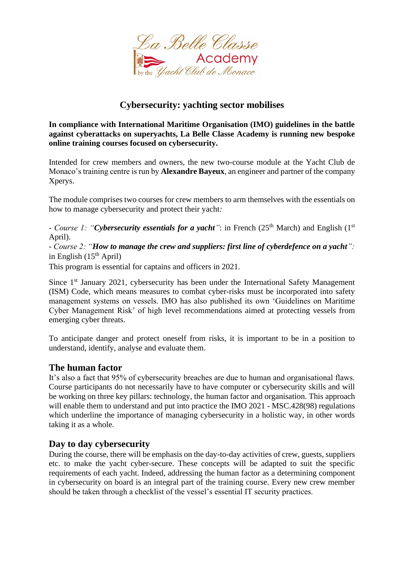

## **Cybersecurity: yachting sector mobilises**

**In compliance with International Maritime Organisation (IMO) guidelines in the battle against cyberattacks on superyachts, La Belle Classe Academy is running new bespoke online training courses focused on cybersecurity.** 

Intended for crew members and owners, the new two-course module at the Yacht Club de Monaco's training centre is run by **Alexandre Bayeux**, an engineer and partner of the company Xperys.

The module comprises two courses for crew members to arm themselves with the essentials on how to manage cybersecurity and protect their yacht*:*

*- Course 1:* "*Cybersecurity essentials for a yacht*": in French (25<sup>th</sup> March) and English (1<sup>st</sup>) April).

*- Course 2: "How to manage the crew and suppliers: first line of cyberdefence on a yacht":*  in English  $(15<sup>th</sup>$  April)

This program is essential for captains and officers in 2021.

Since  $1<sup>st</sup>$  January 2021, cybersecurity has been under the International Safety Management (ISM) Code, which means measures to combat cyber-risks must be incorporated into safety management systems on vessels. IMO has also published its own 'Guidelines on Maritime Cyber Management Risk' of high level recommendations aimed at protecting vessels from emerging cyber threats.

To anticipate danger and protect oneself from risks, it is important to be in a position to understand, identify, analyse and evaluate them.

## **The human factor**

It's also a fact that 95% of cybersecurity breaches are due to human and organisational flaws. Course participants do not necessarily have to have computer or cybersecurity skills and will be working on three key pillars: technology, the human factor and organisation. This approach will enable them to understand and put into practice the IMO 2021 - MSC.428(98) regulations which underline the importance of managing cybersecurity in a holistic way, in other words taking it as a whole.

## **Day to day cybersecurity**

During the course, there will be emphasis on the day-to-day activities of crew, guests, suppliers etc. to make the yacht cyber-secure. These concepts will be adapted to suit the specific requirements of each yacht. Indeed, addressing the human factor as a determining component in cybersecurity on board is an integral part of the training course. Every new crew member should be taken through a checklist of the vessel's essential IT security practices.